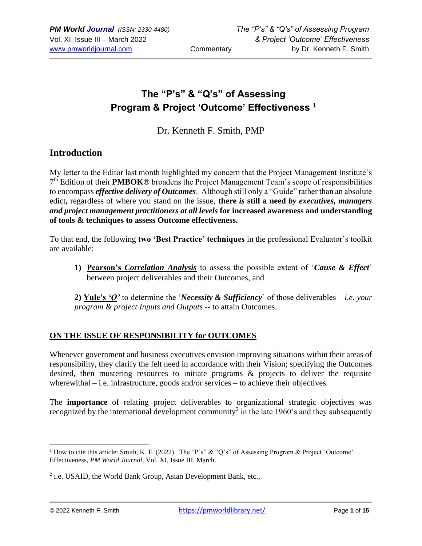# **The "P's" & "Q's" of Assessing Program & Project 'Outcome' Effectiveness <sup>1</sup>**

Dr. Kenneth F. Smith, PMP

# **Introduction**

My letter to the Editor last month highlighted my concern that the Project Management Institute's 7 th Edition of their **PMBOK®** broadens the Project Management Team's scope of responsibilities to encompass *effective delivery of Outcomes*. Although still only a "Guide" rather than an absolute edict**,** regardless of where you stand on the issue, **there** *is* **still a need** *by executives, managers and project management practitioners at all levels* **for increased awareness and understanding of tools & techniques to assess Outcome effectiveness.** 

To that end, the following **two 'Best Practice' techniques** in the professional Evaluator's toolkit are available:

**1) Pearson's** *Correlation Analysis* to assess the possible extent of '*Cause & Effect*' between project deliverables and their Outcomes, and

**2) Yule's** *'Q'* to determine the '*Necessity & Sufficiency*' of those deliverables – *i.e. your program & project Inputs and Outputs* -- to attain Outcomes.

### **ON THE ISSUE OF RESPONSIBILITY for OUTCOMES**

Whenever government and business executives envision improving situations within their areas of responsibility, they clarify the felt need in accordance with their Vision; specifying the Outcomes desired, then mustering resources to initiate programs & projects to deliver the requisite wherewithal – i.e. infrastructure, goods and/or services – to achieve their objectives.

The **importance** of relating project deliverables to organizational strategic objectives was recognized by the international development community<sup>2</sup> in the late 1960's and they subsequently

<sup>&</sup>lt;sup>1</sup> How to cite this article: Smith, K. F. (2022). The "P's" & "Q's" of Assessing Program & Project 'Outcome' Effectiveness, *PM World Journal*, Vol. XI, Issue III, March.

<sup>&</sup>lt;sup>2</sup> i.e. USAID, the World Bank Group, Asian Development Bank, etc.,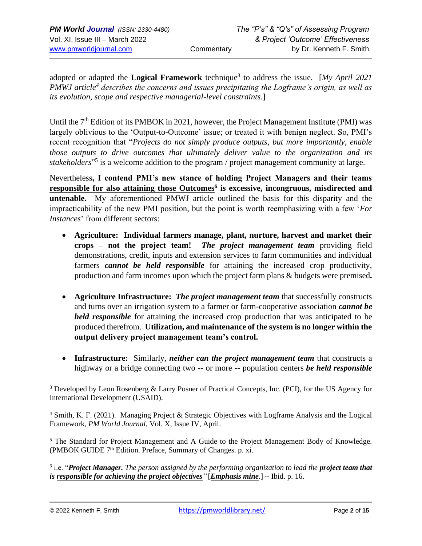adopted or adapted the **Logical Framework** technique<sup>3</sup> to address the issue. [My April 2021 *PMWJ article<sup>4</sup> describes the concerns and issues precipitating the Logframe's origin, as well as its evolution, scope and respective managerial-level constraints.*]

Until the 7<sup>th</sup> Edition of its PMBOK in 2021, however, the Project Management Institute (PMI) was largely oblivious to the 'Output-to-Outcome' issue; or treated it with benign neglect. So, PMI's recent recognition that "*Projects do not simply produce outputs, but more importantly, enable those outputs to drive outcomes that ultimately deliver value to the organization and its*  stakeholders<sup>"5</sup> is a welcome addition to the program / project management community at large.

Nevertheless**, I contend PMI's new stance of holding Project Managers and their teams responsible for also attaining those Outcomes<sup>6</sup> is excessive, incongruous, misdirected and untenable.** My aforementioned PMWJ article outlined the basis for this disparity and the impracticability of the new PMI position, but the point is worth reemphasizing with a few '*For Instances*' from different sectors:

- **Agriculture: Individual farmers manage, plant, nurture, harvest and market their crops – not the project team!** *The project management team* providing field demonstrations, credit, inputs and extension services to farm communities and individual farmers *cannot be held responsible* for attaining the increased crop productivity, production and farm incomes upon which the project farm plans & budgets were premised**.**
- **Agriculture Infrastructure:** *The project management team* that successfully constructs and turns over an irrigation system to a farmer or farm-cooperative association *cannot be held responsible* for attaining the increased crop production that was anticipated to be produced therefrom. **Utilization, and maintenance of the system is no longer within the output delivery project management team's control.**
- **Infrastructure:** Similarly, *neither can the project management team* that constructs a highway or a bridge connecting two -- or more -- population centers *be held responsible*

<sup>5</sup> The Standard for Project Management and A Guide to the Project Management Body of Knowledge. (PMBOK GUIDE  $7<sup>th</sup>$  Edition. Preface, Summary of Changes. p. xi.

<sup>6</sup> i.e. "**Project Manager.** The person assigned by the performing organization to lead the **project team that** *is responsible for achieving the project objectives"* [*Emphasis mine*.]-- Ibid. p. 16.

<sup>&</sup>lt;sup>3</sup> Developed by Leon Rosenberg & Larry Posner of Practical Concepts, Inc. (PCI), for the US Agency for International Development (USAID).

<sup>4</sup> Smith, K. F. (2021). Managing Project & Strategic Objectives with Logframe Analysis and the Logical Framework, *PM World Journal*, Vol. X, Issue IV, April.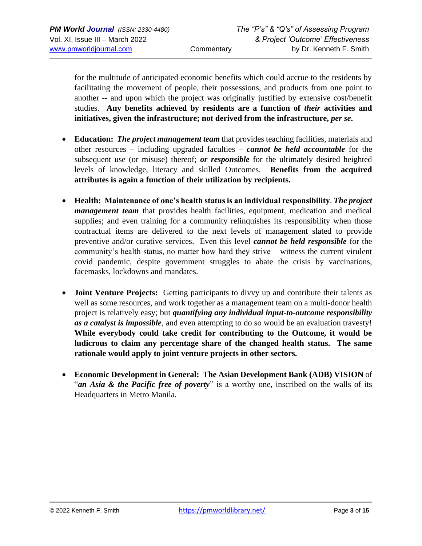for the multitude of anticipated economic benefits which could accrue to the residents by facilitating the movement of people, their possessions, and products from one point to another -- and upon which the project was originally justified by extensive cost/benefit studies. **Any benefits achieved by residents are a function of** *their* **activities and initiatives, given the infrastructure; not derived from the infrastructure,** *per se***.**

- **Education:** *The project management team* that provides teaching facilities, materials and other resources – including upgraded faculties – *cannot be held accountable* for the subsequent use (or misuse) thereof; *or responsible* for the ultimately desired heighted levels of knowledge, literacy and skilled Outcomes. **Benefits from the acquired attributes is again a function of their utilization by recipients.**
- **Health: Maintenance of one's health status is an individual responsibility**. *The project management team* that provides health facilities, equipment, medication and medical supplies; and even training for a community relinquishes its responsibility when those contractual items are delivered to the next levels of management slated to provide preventive and/or curative services. Even this level *cannot be held responsible* for the community's health status, no matter how hard they strive – witness the current virulent covid pandemic, despite government struggles to abate the crisis by vaccinations, facemasks, lockdowns and mandates.
- **Joint Venture Projects:** Getting participants to divvy up and contribute their talents as well as some resources, and work together as a management team on a multi-donor health project is relatively easy; but *quantifying any individual input-to-outcome responsibility as a catalyst is impossible*, and even attempting to do so would be an evaluation travesty! **While everybody could take credit for contributing to the Outcome, it would be ludicrous to claim any percentage share of the changed health status. The same rationale would apply to joint venture projects in other sectors.**
- **Economic Development in General: The Asian Development Bank (ADB) VISION** of "*an Asia & the Pacific free of poverty*" is a worthy one, inscribed on the walls of its Headquarters in Metro Manila.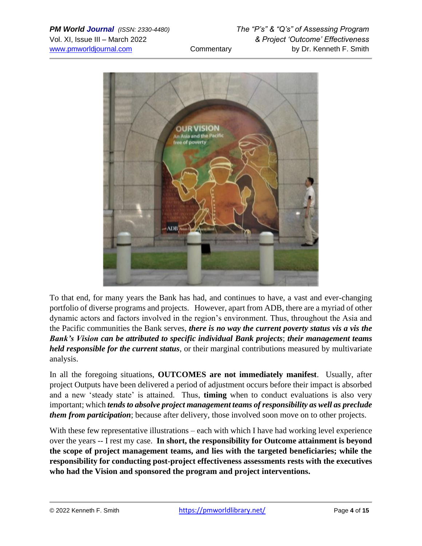

To that end, for many years the Bank has had, and continues to have, a vast and ever-changing portfolio of diverse programs and projects. However, apart from ADB, there are a myriad of other dynamic actors and factors involved in the region's environment. Thus, throughout the Asia and the Pacific communities the Bank serves, *there is no way the current poverty status vis a vis the Bank's Vision can be attributed to specific individual Bank projects*; *their management teams held responsible for the current status*, or their marginal contributions measured by multivariate analysis.

In all the foregoing situations, **OUTCOMES are not immediately manifest**. Usually, after project Outputs have been delivered a period of adjustment occurs before their impact is absorbed and a new 'steady state' is attained. Thus, **timing** when to conduct evaluations is also very important; which *tends to absolve project management teams of responsibility as well as preclude them from participation*; because after delivery, those involved soon move on to other projects.

With these few representative illustrations – each with which I have had working level experience over the years -- I rest my case. **In short, the responsibility for Outcome attainment is beyond the scope of project management teams, and lies with the targeted beneficiaries; while the responsibility for conducting post-project effectiveness assessments rests with the executives who had the Vision and sponsored the program and project interventions.**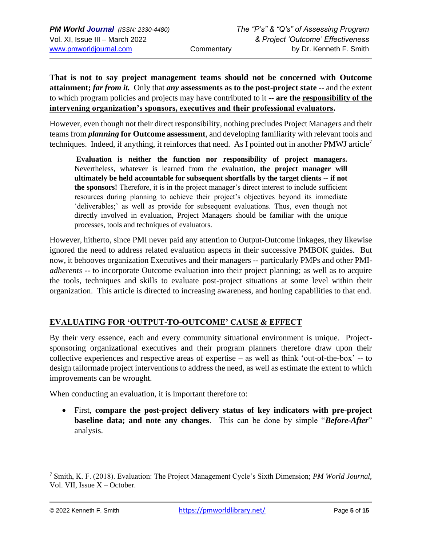**That is not to say project management teams should not be concerned with Outcome attainment;** *far from it.* Only that *any* **assessments as to the post-project state** -- and the extent to which program policies and projects may have contributed to it **-- are the responsibility of the intervening organization's sponsors, executives and their professional evaluators.**

However, even though not their direct responsibility, nothing precludes Project Managers and their teams from *planning* **for Outcome assessment**, and developing familiarity with relevant tools and techniques. Indeed, if anything, it reinforces that need. As I pointed out in another PMWJ article<sup>7</sup>

**Evaluation is neither the function nor responsibility of project managers.**  Nevertheless, whatever is learned from the evaluation, **the project manager will ultimately be held accountable for subsequent shortfalls by the target clients -- if not the sponsors!** Therefore, it is in the project manager's direct interest to include sufficient resources during planning to achieve their project's objectives beyond its immediate 'deliverables;' as well as provide for subsequent evaluations. Thus, even though not directly involved in evaluation, Project Managers should be familiar with the unique processes, tools and techniques of evaluators.

However, hitherto, since PMI never paid any attention to Output-Outcome linkages, they likewise ignored the need to address related evaluation aspects in their successive PMBOK guides. But now, it behooves organization Executives and their managers -- particularly PMPs and other PMI*adherents* -- to incorporate Outcome evaluation into their project planning; as well as to acquire the tools, techniques and skills to evaluate post-project situations at some level within their organization. This article is directed to increasing awareness, and honing capabilities to that end.

## **EVALUATING FOR 'OUTPUT-TO-OUTCOME' CAUSE & EFFECT**

By their very essence, each and every community situational environment is unique. Projectsponsoring organizational executives and their program planners therefore draw upon their collective experiences and respective areas of expertise – as well as think 'out-of-the-box' -- to design tailormade project interventions to address the need, as well as estimate the extent to which improvements can be wrought.

When conducting an evaluation, it is important therefore to:

• First, **compare the post-project delivery status of key indicators with pre-project baseline data; and note any changes**. This can be done by simple "*Before-After*" analysis.

<sup>7</sup> Smith, K. F. (2018). Evaluation: The Project Management Cycle's Sixth Dimension; *PM World Journal*, Vol. VII, Issue X – October.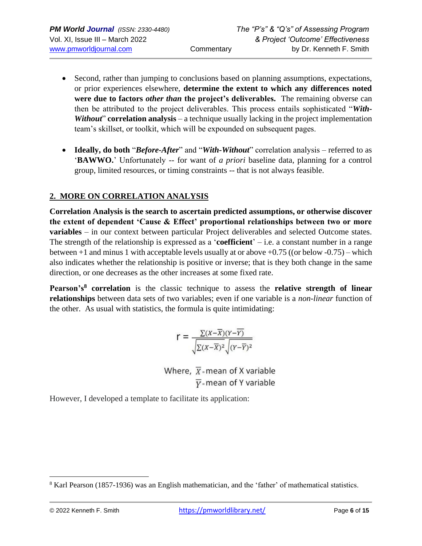- Second, rather than jumping to conclusions based on planning assumptions, expectations, or prior experiences elsewhere, **determine the extent to which any differences noted were due to factors** *other than* **the project's deliverables.** The remaining obverse can then be attributed to the project deliverables. This process entails sophisticated "*With-Without*" **correlation analysis** – a technique usually lacking in the project implementation team's skillset, or toolkit, which will be expounded on subsequent pages.
- **Ideally, do both** "*Before-After*" and "*With-Without*" correlation analysis referred to as '**BAWWO.**' Unfortunately -- for want of *a priori* baseline data, planning for a control group, limited resources, or timing constraints -- that is not always feasible.

### **2. MORE ON CORRELATION ANALYSIS**

**Correlation Analysis is the search to ascertain predicted assumptions, or otherwise discover the extent of dependent 'Cause & Effect' proportional relationships between two or more variables** – in our context between particular Project deliverables and selected Outcome states. The strength of the relationship is expressed as a '**coefficient**' – i.e. a constant number in a range between +1 and minus 1 with acceptable levels usually at or above +0.75 ((or below -0.75) – which also indicates whether the relationship is positive or inverse; that is they both change in the same direction, or one decreases as the other increases at some fixed rate.

**Pearson's<sup>8</sup> correlation** is the classic technique to assess the **relative strength of linear relationships** between data sets of two variables; even if one variable is a *non-linear* function of the other. As usual with statistics, the formula is quite intimidating:

$$
r = \frac{\Sigma(x-\overline{x})(Y-\overline{Y})}{\sqrt{\Sigma(x-\overline{x})^2}\sqrt{(Y-\overline{Y})^2}}
$$

Where,  $\overline{X}$ -mean of X variable  $\overline{y}$ -mean of Y variable

However, I developed a template to facilitate its application:

<sup>8</sup> Karl Pearson (1857-1936) was an English mathematician, and the 'father' of mathematical statistics.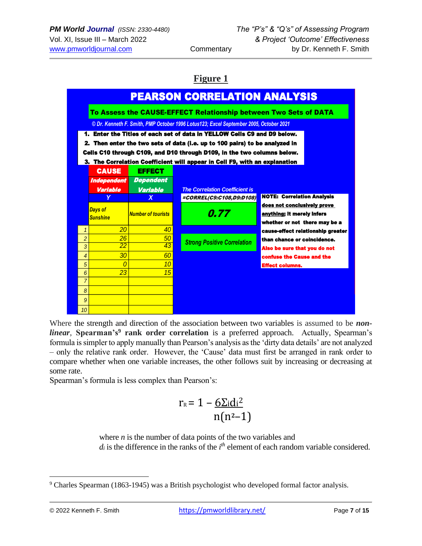# **Figure 1**



Where the strength and direction of the association between two variables is assumed to be *nonlinear*, **Spearman's<sup>9</sup> rank order correlation** is a preferred approach. Actually, Spearman's formula is simpler to apply manually than Pearson's analysis as the 'dirty data details' are not analyzed – only the relative rank order. However, the 'Cause' data must first be arranged in rank order to compare whether when one variable increases, the other follows suit by increasing or decreasing at some rate.

Spearman's formula is less complex than Pearson's:

$$
r_{\rm R} = 1 - \frac{6 \Sigma \mathrm{id}^2}{n(n^2-1)}
$$

where *n* is the number of data points of the two variables and  $d_i$  is the difference in the ranks of the  $i<sup>th</sup>$  element of each random variable considered.

<sup>9</sup> Charles Spearman (1863-1945) was a British psychologist who developed formal factor analysis.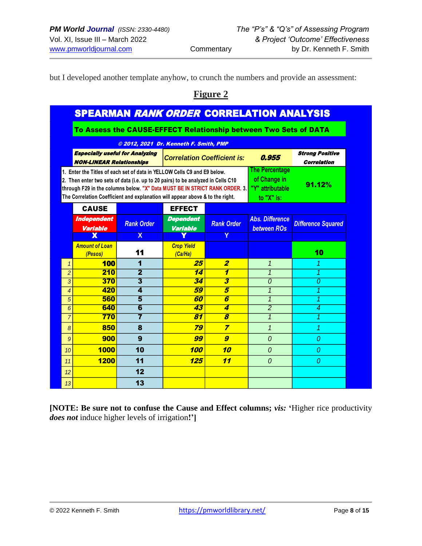but I developed another template anyhow, to crunch the numbers and provide an assessment:

# **Figure 2**

| To Assess the CAUSE-EFFECT Relationship between Two Sets of DATA<br>© 2012, 2021 Dr. Kenneth F. Smith, PMP<br><b>Especially useful for Analyzing</b><br>0.955<br><b>Correlation Coefficient is:</b><br><b>NON-LINEAR Relationships</b><br><b>The Percentage</b><br>1. Enter the Titles of each set of data in YELLOW Cells C9 and E9 below.<br>of Change in<br>2. Then enter two sets of data (i.e. up to 20 pairs) to be analyzed in Cells C10<br>91.12%<br>through F29 in the columns below. "X" Data MUST BE IN STRICT RANK ORDER. 3.<br>"Y" attributable<br>The Correlation Coefficient and explanation will appear above & to the right.<br>to "X" is:<br><b>CAUSE</b><br><b>EFFECT</b><br><b>Abs. Difference</b><br><b>Independent</b><br><b>Dependent</b><br><b>Rank Order</b><br><b>Rank Order</b><br><b>Variable</b><br><b>Variable</b><br><b>between ROs</b><br>χ<br>X<br><b>Amount of Loan</b><br><b>Crop Yield</b><br>11<br>(Ca/Ha)<br>(Pesos)<br><b>100</b><br>25<br>1<br>$\boldsymbol{2}$<br>1<br>1<br>$\overline{\mathbf{2}}$<br>1<br>$\overline{2}$<br>210<br>14<br>1<br>370<br>3<br>3<br>34<br>3<br>$\theta$<br>420<br>$\overline{\mathbf{A}}$<br>59<br>5<br>$\mathbf{1}$<br>$\overline{4}$<br>560<br>5<br>$\overline{5}$<br>6<br>60<br>$\mathbf{1}$<br>640<br>$\overline{2}$<br>6<br>43<br>4<br>6<br>7<br>$\overline{\boldsymbol{s}}$<br>$\overline{7}$<br>770<br>81<br>$\overline{1}$<br>850<br>79<br>$\overline{z}$<br>8<br>$\mathbf{1}$<br>8 | <b>Strong Positive</b><br><b>Correlation</b> |
|-------------------------------------------------------------------------------------------------------------------------------------------------------------------------------------------------------------------------------------------------------------------------------------------------------------------------------------------------------------------------------------------------------------------------------------------------------------------------------------------------------------------------------------------------------------------------------------------------------------------------------------------------------------------------------------------------------------------------------------------------------------------------------------------------------------------------------------------------------------------------------------------------------------------------------------------------------------------------------------------------------------------------------------------------------------------------------------------------------------------------------------------------------------------------------------------------------------------------------------------------------------------------------------------------------------------------------------------------------------------------------------------------------------------------------------------------------------------|----------------------------------------------|
|                                                                                                                                                                                                                                                                                                                                                                                                                                                                                                                                                                                                                                                                                                                                                                                                                                                                                                                                                                                                                                                                                                                                                                                                                                                                                                                                                                                                                                                                   |                                              |
|                                                                                                                                                                                                                                                                                                                                                                                                                                                                                                                                                                                                                                                                                                                                                                                                                                                                                                                                                                                                                                                                                                                                                                                                                                                                                                                                                                                                                                                                   |                                              |
|                                                                                                                                                                                                                                                                                                                                                                                                                                                                                                                                                                                                                                                                                                                                                                                                                                                                                                                                                                                                                                                                                                                                                                                                                                                                                                                                                                                                                                                                   |                                              |
|                                                                                                                                                                                                                                                                                                                                                                                                                                                                                                                                                                                                                                                                                                                                                                                                                                                                                                                                                                                                                                                                                                                                                                                                                                                                                                                                                                                                                                                                   |                                              |
|                                                                                                                                                                                                                                                                                                                                                                                                                                                                                                                                                                                                                                                                                                                                                                                                                                                                                                                                                                                                                                                                                                                                                                                                                                                                                                                                                                                                                                                                   |                                              |
|                                                                                                                                                                                                                                                                                                                                                                                                                                                                                                                                                                                                                                                                                                                                                                                                                                                                                                                                                                                                                                                                                                                                                                                                                                                                                                                                                                                                                                                                   | <b>Difference Squared</b>                    |
|                                                                                                                                                                                                                                                                                                                                                                                                                                                                                                                                                                                                                                                                                                                                                                                                                                                                                                                                                                                                                                                                                                                                                                                                                                                                                                                                                                                                                                                                   |                                              |
|                                                                                                                                                                                                                                                                                                                                                                                                                                                                                                                                                                                                                                                                                                                                                                                                                                                                                                                                                                                                                                                                                                                                                                                                                                                                                                                                                                                                                                                                   | 10                                           |
|                                                                                                                                                                                                                                                                                                                                                                                                                                                                                                                                                                                                                                                                                                                                                                                                                                                                                                                                                                                                                                                                                                                                                                                                                                                                                                                                                                                                                                                                   | 1                                            |
|                                                                                                                                                                                                                                                                                                                                                                                                                                                                                                                                                                                                                                                                                                                                                                                                                                                                                                                                                                                                                                                                                                                                                                                                                                                                                                                                                                                                                                                                   | 1                                            |
|                                                                                                                                                                                                                                                                                                                                                                                                                                                                                                                                                                                                                                                                                                                                                                                                                                                                                                                                                                                                                                                                                                                                                                                                                                                                                                                                                                                                                                                                   | 0                                            |
|                                                                                                                                                                                                                                                                                                                                                                                                                                                                                                                                                                                                                                                                                                                                                                                                                                                                                                                                                                                                                                                                                                                                                                                                                                                                                                                                                                                                                                                                   | 1                                            |
|                                                                                                                                                                                                                                                                                                                                                                                                                                                                                                                                                                                                                                                                                                                                                                                                                                                                                                                                                                                                                                                                                                                                                                                                                                                                                                                                                                                                                                                                   | 1                                            |
|                                                                                                                                                                                                                                                                                                                                                                                                                                                                                                                                                                                                                                                                                                                                                                                                                                                                                                                                                                                                                                                                                                                                                                                                                                                                                                                                                                                                                                                                   | 4<br>1                                       |
|                                                                                                                                                                                                                                                                                                                                                                                                                                                                                                                                                                                                                                                                                                                                                                                                                                                                                                                                                                                                                                                                                                                                                                                                                                                                                                                                                                                                                                                                   |                                              |
|                                                                                                                                                                                                                                                                                                                                                                                                                                                                                                                                                                                                                                                                                                                                                                                                                                                                                                                                                                                                                                                                                                                                                                                                                                                                                                                                                                                                                                                                   |                                              |
| 900<br>9<br>$\boldsymbol{g}$<br>99<br>$\Omega$<br>9                                                                                                                                                                                                                                                                                                                                                                                                                                                                                                                                                                                                                                                                                                                                                                                                                                                                                                                                                                                                                                                                                                                                                                                                                                                                                                                                                                                                               | 1                                            |
| 1000<br>10<br>100<br>10<br>10<br>$\theta$                                                                                                                                                                                                                                                                                                                                                                                                                                                                                                                                                                                                                                                                                                                                                                                                                                                                                                                                                                                                                                                                                                                                                                                                                                                                                                                                                                                                                         | $\Omega$                                     |
| 11<br>11<br>1200<br>125<br>0<br>11                                                                                                                                                                                                                                                                                                                                                                                                                                                                                                                                                                                                                                                                                                                                                                                                                                                                                                                                                                                                                                                                                                                                                                                                                                                                                                                                                                                                                                | $\theta$                                     |
| 12<br>12                                                                                                                                                                                                                                                                                                                                                                                                                                                                                                                                                                                                                                                                                                                                                                                                                                                                                                                                                                                                                                                                                                                                                                                                                                                                                                                                                                                                                                                          | 0                                            |
| 13<br>13                                                                                                                                                                                                                                                                                                                                                                                                                                                                                                                                                                                                                                                                                                                                                                                                                                                                                                                                                                                                                                                                                                                                                                                                                                                                                                                                                                                                                                                          |                                              |

**[NOTE: Be sure not to confuse the Cause and Effect columns;** *vis:* **'**Higher rice productivity *does not* induce higher levels of irrigation**!']**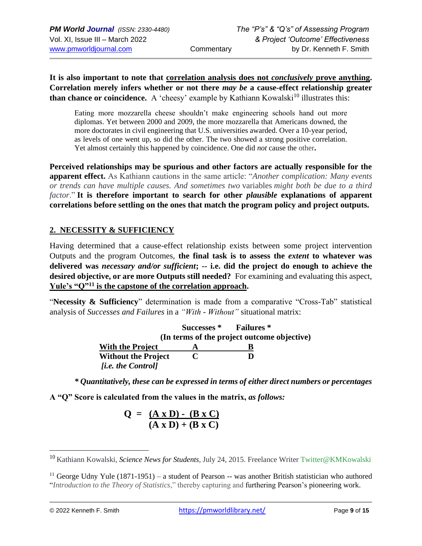**It is also important to note that correlation analysis does not** *conclusively* **prove anything. Correlation merely infers whether or not there** *may be* **a cause-effect relationship greater than chance or coincidence.** A 'cheesy' example by Kathiann Kowalski<sup>10</sup> illustrates this:

Eating more mozzarella cheese shouldn't make engineering schools hand out more diplomas. Yet between 2000 and 2009, the more mozzarella that Americans downed, the more doctorates in civil engineering that U.S. universities awarded. Over a 10-year period, as levels of one went up, so did the other. The two showed a strong positive correlation. Yet almost certainly this happened by coincidence. One did *not* cause the other**.** 

**Perceived relationships may be spurious and other factors are actually responsible for the apparent effect.** As Kathiann cautions in the same article: "*Another complication: Many events or trends can have multiple causes. And sometimes two* variables *might both be due to a third factor*." **It is therefore important to search for other** *plausible* **explanations of apparent correlations before settling on the ones that match the program policy and project outputs.** 

### **2. NECESSITY & SUFFICIENCY**

Having determined that a cause-effect relationship exists between some project intervention Outputs and the program Outcomes, **the final task is to assess the** *extent* **to whatever was delivered was** *necessary and/or sufficient***; -- i.e. did the project do enough to achieve the desired objective, or are more Outputs still needed?** For examining and evaluating this aspect, **Yule's "Q"<sup>11</sup> is the capstone of the correlation approach.**

"**Necessity & Sufficiency**" determination is made from a comparative "Cross-Tab" statistical analysis of *Successes and Failures* in a *"With - Without"* situational matrix:

|                            |             | Successes * Failures *                      |
|----------------------------|-------------|---------------------------------------------|
|                            |             | (In terms of the project outcome objective) |
| <b>With the Project</b>    |             |                                             |
| <b>Without the Project</b> | $\mathbf C$ | Ð                                           |
| <i>fi.e. the Controll</i>  |             |                                             |

*\* Quantitatively, these can be expressed in terms of either direct numbers or percentages*

**A "Q" Score is calculated from the values in the matrix,** *as follows:*

$$
Q = \frac{(A \times D) - (B \times C)}{(A \times D) + (B \times C)}
$$

<sup>10</sup> Kathiann Kowalski, *Science News for Students,* July 24, 2015. Freelance Writer [Twitter@KMKowalski](https://twitter.com/KMKowalski)

<sup>&</sup>lt;sup>11</sup> George Udny Yule (1871-1951) – a student of Pearson -- was another British statistician who authored "*Introduction to the Theory of Statistics*," thereby capturing and furthering Pearson's pioneering work.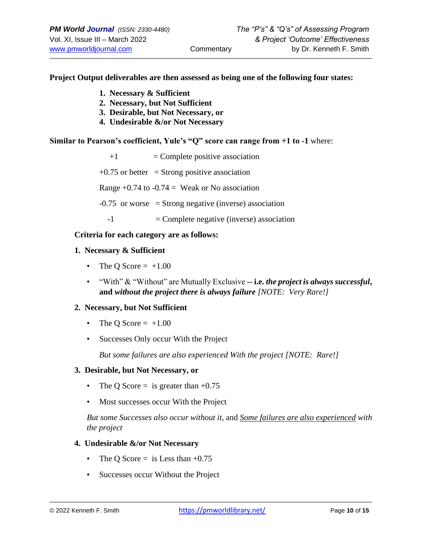#### **Project Output deliverables are then assessed as being one of the following four states:**

- **1. Necessary & Sufficient**
- **2. Necessary, but Not Sufficient**
- **3. Desirable, but Not Necessary, or**
- **4. Undesirable &/or Not Necessary**

#### **Similar to Pearson's coefficient, Yule's "Q" score can range from +1 to -1** where:

| $+1$ | $=$ Complete positive association                        |
|------|----------------------------------------------------------|
|      | $+0.75$ or better = Strong positive association          |
|      | Range +0.74 to -0.74 = Weak or No association            |
|      | $-0.75$ or worse = Strong negative (inverse) association |
| -1   | $=$ Complete negative (inverse) association              |

#### **Criteria for each category are as follows:**

#### **1. Necessary & Sufficient**

- The Q Score  $= +1.00$
- "With" & "Without" are Mutually Exclusive **-- i.e.** *the project is always successful***, and** *without the project there is always failure [NOTE: Very Rare!]*

#### **2. Necessary, but Not Sufficient**

- The Q Score  $= +1.00$
- Successes Only occur With the Project

*But some failures are also experienced With the project [NOTE: Rare!]*

#### **3. Desirable, but Not Necessary, or**

- The Q Score  $=$  is greater than  $+0.75$
- Most successes occur With the Project

*But some Successes also occur without it,* and *Some failures are also experienced with the project*

#### **4. Undesirable &/or Not Necessary**

- The Q Score  $=$  is Less than  $+0.75$
- Successes occur Without the Project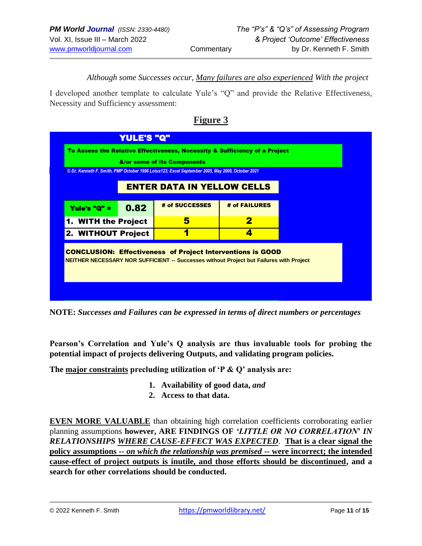*Although some Successes occur, Many failures are also experienced With the project*

I developed another template to calculate Yule's "Q" and provide the Relative Effectiveness, Necessity and Sufficiency assessment:

| <b>ENTER DATA IN YELLOW CELLS</b> |                                                                   |
|-----------------------------------|-------------------------------------------------------------------|
|                                   |                                                                   |
| # of FAILURES                     |                                                                   |
| 2                                 |                                                                   |
|                                   |                                                                   |
|                                   | <b>CONCLUSION: Effectiveness of Project Interventions is GOOD</b> |

## **Figure 3**

**NOTE:** *Successes and Failures can be expressed in terms of direct numbers or percentages*

**Pearson's Correlation and Yule's Q analysis are thus invaluable tools for probing the potential impact of projects delivering Outputs, and validating program policies.** 

**The major constraints precluding utilization of 'P & Q' analysis are:** 

- **1. Availability of good data,** *and*
- **2. Access to that data.**

**EVEN MORE VALUABLE** than obtaining high correlation coefficients corroborating earlier planning assumptions **however, ARE FINDINGS OF** *'LITTLE OR NO CORRELATION***'** *IN RELATIONSHIPS WHERE CAUSE-EFFECT WAS EXPECTED*. **That is a clear signal the policy assumptions --** *on which the relationship was premised* **-- were incorrect; the intended cause-effect of project outputs is inutile, and those efforts should be discontinued, and a search for other correlations should be conducted.**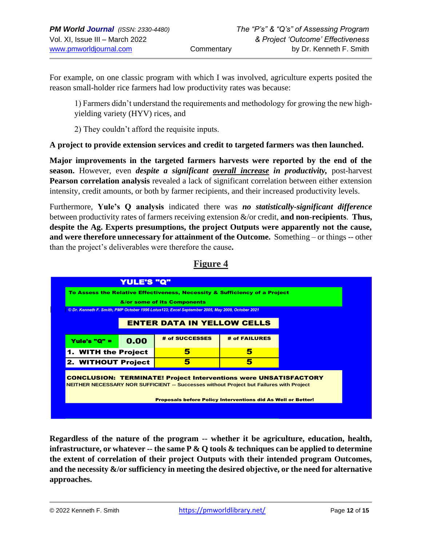For example, on one classic program with which I was involved, agriculture experts posited the reason small-holder rice farmers had low productivity rates was because:

1) Farmers didn't understand the requirements and methodology for growing the new highyielding variety (HYV) rices, and

2) They couldn't afford the requisite inputs.

### **A project to provide extension services and credit to targeted farmers was then launched.**

**Major improvements in the targeted farmers harvests were reported by the end of the season.** However, even *despite a significant overall increase in productivity,* post-harvest **Pearson correlation analysis** revealed a lack of significant correlation between either extension intensity, credit amounts, or both by farmer recipients, and their increased productivity levels.

Furthermore, **Yule's Q analysis** indicated there was *no statistically-significant difference* between productivity rates of farmers receiving extension &/or credit, **and non-recipients**. **Thus, despite the Ag. Experts presumptions, the project Outputs were apparently not the cause, and were therefore unnecessary for attainment of the Outcome.** Something – or things -- other than the project's deliverables were therefore the cause**.** 



### **Regardless of the nature of the program -- whether it be agriculture, education, health, infrastructure, or whatever -- the same P & Q tools & techniques can be applied to determine the extent of correlation of their project Outputs with their intended program Outcomes, and the necessity &/or sufficiency in meeting the desired objective, or the need for alternative approaches.**

**Figure 4**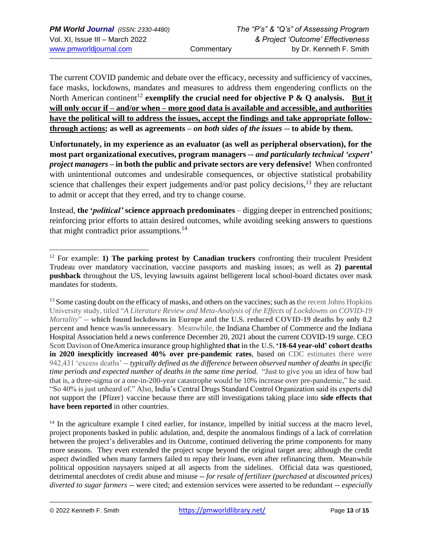The current COVID pandemic and debate over the efficacy, necessity and sufficiency of vaccines, face masks, lockdowns, mandates and measures to address them engendering conflicts on the North American continent<sup>12</sup> exemplify the crucial need for objective  $P \& Q$  analysis. But it **will only occur if – and/or when – more good data is available and accessible, and authorities have the political will to address the issues, accept the findings and take appropriate followthrough actions; as well as agreements –** *on both sides of the issues* **-- to abide by them.**

**Unfortunately, in my experience as an evaluator (as well as peripheral observation), for the most part organizational executives, program managers** *-- and particularly technical 'expert' project managers* **– in both the public and private sectors are very defensive!** When confronted with unintentional outcomes and undesirable consequences, or objective statistical probability science that challenges their expert judgements and/or past policy decisions,<sup>13</sup> they are reluctant to admit or accept that they erred, and try to change course.

Instead, **the '***political'* **science approach predominates** – digging deeper in entrenched positions; reinforcing prior efforts to attain desired outcomes, while avoiding seeking answers to questions that might contradict prior assumptions.<sup>14</sup>

<sup>14</sup> In the agriculture example I cited earlier, for instance, impelled by initial success at the macro level, project proponents basked in public adulation, and, despite the anomalous findings of a lack of correlation between the project's deliverables and its Outcome, continued delivering the prime components for many more seasons. They even extended the project scope beyond the original target area; although the credit aspect dwindled when many farmers failed to repay their loans, even after refinancing them. Meanwhile political opposition naysayers sniped at all aspects from the sidelines. Official data was questioned, detrimental anecdotes of credit abuse and misuse -- *for resale of fertilizer (purchased at discounted prices) diverted to sugar farmers* -- were cited; and extension services were asserted to be redundant -- *especially* 

<sup>12</sup> For example: **1) The parking protest by Canadian truckers** confronting their truculent President Trudeau over mandatory vaccination, vaccine passports and masking issues; as well as **2) parental pushback** throughout the US, levying lawsuits against belligerent local school-board dictates over mask mandates for students.

<sup>&</sup>lt;sup>13</sup> Some casting doubt on the efficacy of masks, and others on the vaccines; such as the recent Johns Hopkins University study, titled "*A Literature Review and Meta-Analysis of the Effects of Lockdowns on COVID-19 Mortality*" -- **which found lockdowns in Europe and the U.S. reduced COVID-19 deaths by only 0.2 percent and hence was/is unnecessary**. Meanwhile, the Indiana Chamber of Commerce and the Indiana Hospital Association held a news conference December 20, 2021 about the current COVID-19 surge. CEO Scott Davison of OneAmerica insurance group highlighted **that in the U.S. '18-64 year-old' cohort deaths in 2020 inexplicitly increased 40% over pre-pandemic rates**, based on CDC estimates there were 942,431 'excess deaths' -- *typically defined as the difference between observed number of deaths in specific time periods and expected number of deaths in the same time period.* "Just to give you an idea of how bad that is, a three-sigma or a one-in-200-year catastrophe would be 10% increase over pre-pandemic," he said. "So 40% is just unheard of." Also, India's Central Drugs Standard Control Organization said its experts did not support the {Pfizer} vaccine because there are still investigations taking place into **side effects that have been reported** in other countries.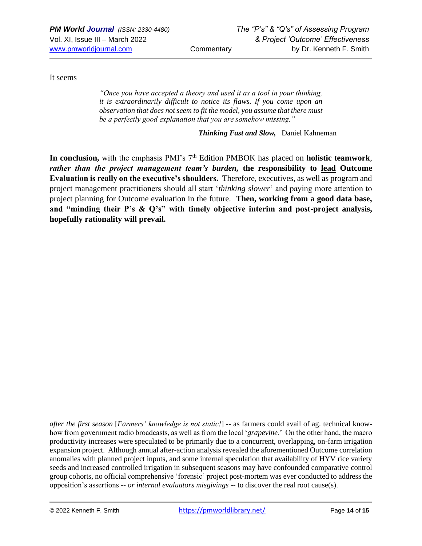It seems

*"Once you have accepted a theory and used it as a tool in your thinking, it is extraordinarily difficult to notice its flaws. If you come upon an observation that does not seem to fit the model, you assume that there must be a perfectly good explanation that you are somehow missing."*

*Thinking Fast and Slow,* Daniel Kahneman

In conclusion, with the emphasis PMI's 7<sup>th</sup> Edition PMBOK has placed on **holistic teamwork**, *rather than the project management team's burden,* **the responsibility to lead Outcome Evaluation is really on the executive's shoulders***.* Therefore, executives, as well as program and project management practitioners should all start '*thinking slower*' and paying more attention to project planning for Outcome evaluation in the future. **Then, working from a good data base, and "minding their P's & Q's" with timely objective interim and post-project analysis, hopefully rationality will prevail.**

*after the first season [Farmers' knowledge is not static!]* -- as farmers could avail of ag. technical knowhow from government radio broadcasts, as well as from the local '*grapevine*.' On the other hand, the macro productivity increases were speculated to be primarily due to a concurrent, overlapping, on-farm irrigation expansion project. Although annual after-action analysis revealed the aforementioned Outcome correlation anomalies with planned project inputs, and some internal speculation that availability of HYV rice variety seeds and increased controlled irrigation in subsequent seasons may have confounded comparative control group cohorts, no official comprehensive 'forensic' project post-mortem was ever conducted to address the opposition's assertions -- *or internal evaluators misgivings* -- to discover the real root cause(s).